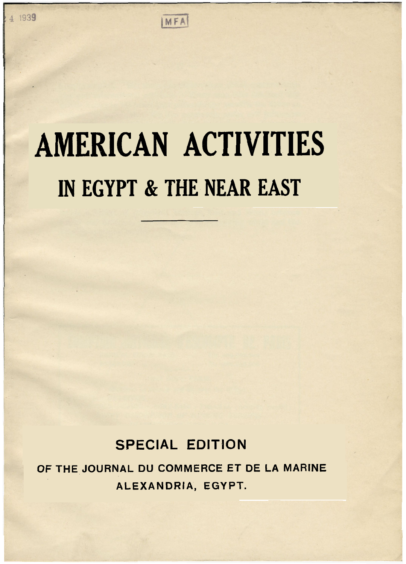## MFA

## **AMERICAN ACTIVITIES IN EGYPT** & **THE NEAR EAST**

## **SPECIAL EDITION**

**OF THE JOURNAL DU COMMERCE ET DE LA MARINE ALEXANDRIA, EGYPT.**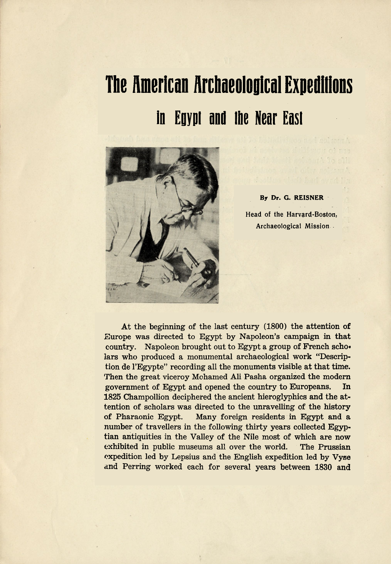## **The American Archaeological Expeditions**  in **Egypt and** the **Near** East



**By Dr. G. REISNER Head of the Harvard-Boston, Archaeological** Mission

At the beginning of the last century (1800) the attention **of**  Europe was directed to Egypt by Napoleon's campaign in **that**  country. Napoleon brought out to Egypt a group of French scholars who produced a monumental archaeological work "Description de l'Egypte" recording all the monuments visible at that time. Then the great viceroy Mohamed Ali Pasha organized the modern government of Egypt and opened the country to Europeans. In 1825 Champollion deciphered the ancient hieroglyphics and the attention of scholars was directed to the unravelling of the history of Pharaonic Egypt. Many foreign residents in Egypt and a number of travellers in the following thirty years collected Egyptian antiquities in the Valley of the Nile most of which are now exhibited in public museums all over the world. The Prussian expedition led by Lepsius and the English expedition led by Vyse and Perring worked each for several years between 1830 and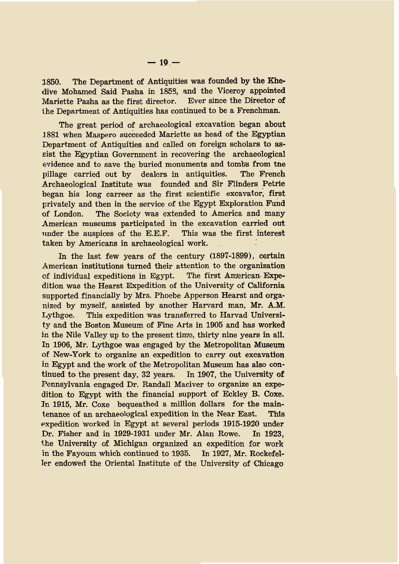**1850.** The Department of Antiquities was founded by the Khedive Mohamed Said Pasha in **1858,** and the Viceroy appointed Mariette Pasha as the first director. the Department of Antiquities has continued to be a Frenchman.

The great period of archaeological excavation began about **1881** when Maspero succeeded Mariette as head of the Egyptian Department of Antiquities and called on foreign scholars to assist the Egyptian Government in recovering the archaeological evidence and to save the buried monuments and tombs from the pillage carried out by dealers in antiquities. The French Archaeological Institute was founded and Sir Blinders Petrie began his long carreer as the first scientific excavator, first privately and then in the service of the Egypt Exploration Fund of London. The Society was extended to America and many American museums participated in the excavation carried out under the auspices of the E.E.F. This was the first interest taken by Americans in archaeological work.

In the last few years of the century **(1897-1899),** certain American institutions turned their attention to the organization of individual expeditions in Egypt. The first American Expedition was the Hearst Expedition of the University of California supported financially by Mrs. Phoebe Apperson Hearst and orgaby myself, assisted by another Harvard man, **Mr.** A.M. Lythgoe. This expedition was transferred to Harvad University and the Boston Museum of Fine Arts in **1905** and has worked in the Nile Valley up to the present time, thirty nine years in **all.**  In 1906, Mr. Lythgoe was engaged by the Metropolitan Museum **of** New-York to organize an expedition to carry out excavation in Egypt and the work of the Metropolitan Museum has also continued to the present day, **32** years. In **1907,** the University **of**  Pennsylvania engaged **Dr.** Randall Maciver to organize an dition to Egypt with the financial support of Eckley B. Coxe. **In 1915,** Mr. Coxe bequeathed a million dollars for the maintenance of an archaeological expedition in the Near East. This expedition worked in Egypt at several periods **1915-1920** under Dr. Fisher and in **1929-1931** under Mr. Alan Rowe. In **1923,**  the University of Michigan organized an expedition, for work in the Fayoum which continued to **1935.** In **1927,** Mr. Rockefeller endowed the Oriental Institute of the University of Chicago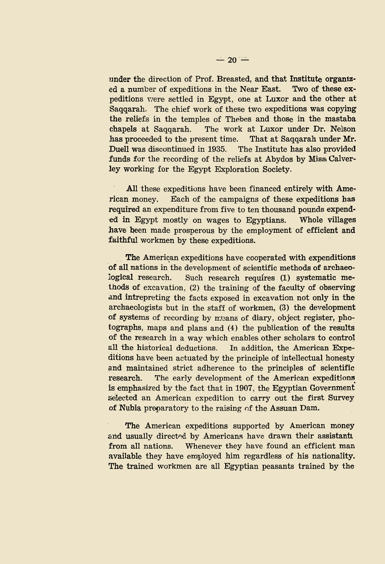under the direction of Prof. Breasted, and that Institute organiza number of expeditions in the Near East. Two of these expeditions were settled in Egypt, one at **Luxor** and the other at Saqqarah. The chief work of these two expeditions was copying the reliefs in the temples of Thebes and those in the mastaba chapels at Saqqarah. The work at Luxor under **Dr.** Nelson has proceeded to the present time. That at Saqqarah under Mr. Duell was discontinued in **1935.** The Institute has also provided funds for the recording of the reliefs at Abydos by Miss Calverley working for the Egypt Exploration Society.

All these expeditions have been financed entirely with American money. Each of the campaigns of these expeditions has required an expenditure from five to ten thousand pounds expended in Egypt mostly on wages to Egyptians. Whole villages have been made prosperous by the employment of efficient and faithful workmen by these expeditions.

The American expeditions have cooperated with expenditions **of** all nations in the development of scientific methods of archaeological research. Such research requires **(1)** systematic methods of excavation, (2) the training of the faculty **of** observing and interpreting the facts exposed in excavation not only in the archaeologists but in the staff of workmen, **(3)** the development of systems of recording by means of diary, object register, photographs, maps and plans and **(4)** the publication of the results **of** the research in a way which enables) other scholars to control all the historical deductions. In addition, the American Expeditions have been actuated by the principle of intellectual honesty and maintained strict adherence to the principles of scientific research. The early development of the American expeditions is emphasized by the fact that in **1907,** the Egyptian Government' selected an American expedition to carry out the first Survey of Nubia preparatory to the raising of the Assuan Dam.

The American expeditions supported by American money and usually directed by Americans have drawn their assistants from all nations. Whenever they have found an efficient man available they have employed him regardless of his nationality. The trained workmen are all Egyptian peasants trained by the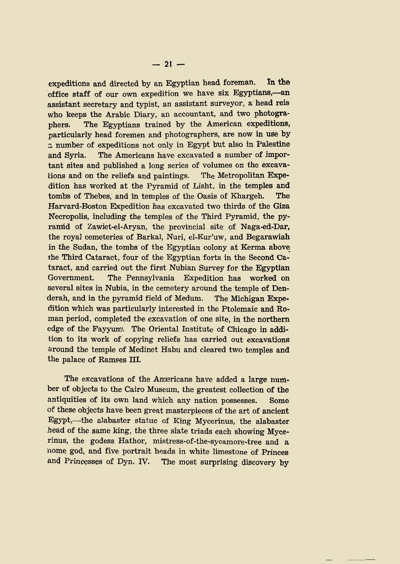expeditions and directed by an Egyptian head foreman. In **the**  office staff of our own expedition we have six Egyptians, —an assistant secretary and typist, an assistant surveyor, a head reis who keeps the Arabic Diary, an accountant, and two photographers. The Egyptians trained by the American expeditions, particularly head foremen and photographers, are now in use by *a* number of expeditions not only in Egypt but also in Palestine and Syria. The Americans have excavated a number of important sites and published a long series of volumes on the excavalions and on the reliefs and paintings. The Metropolitan Expedition has worked at the Pyramid of Lisht. in the temples and tombs of Thebes, and in temples of the Oasis of Khargeh. The Harvard-Boston Expedition has excavated two thirds of the Giza Necropolis, including the temples of the Third Pyramid, the pyramid of Zawiet-el-Aryan, the provincial site of Naga-ed-Dar, the royal cemeteries of Barkal, Nuri, el-Kur'uw, and Begarawiah in the Sudan, the tombs of the Egyptian colony at Kerma above rhe Third Cataract, four of the Egyptian forts in the Second Cataract, and carried out the first Nubian Survey for the Egyptian Government. The Pennsylvania Expedition has worked on several sites in Nubia, in the cemetery around the temple of Denderah, and in the pyramid field of Medum. The Michigan Expedition which was particularly interested in the Ptolemaic and Roman period, completed tbe excavation of one site, in the northern edge of the Fayyum. The Oriental Institute of Chicago in addition to its work of copying reliefs has carried out excavations around the temple of Medinet Habu and cleared two temples and the palace of Ramses 111.

The excavations of the Americans have added a large num**ber** of objects to the Cairo Museum, the greatest collection of the antiquities of its own land which any nation possesses. Some of these objects have been great masterpieces of the art of ancient Egypt,-the alabaster statue of King Mycerinus, the alabaster head of the same king, the three slate triads each showing Mycerinus, the godess Hathor, mistress-of-the-sycamore-tree and a nome god, and five portrait heads in white limestone of Princes and Princesses of Dyn. IV. The most surprising discovery by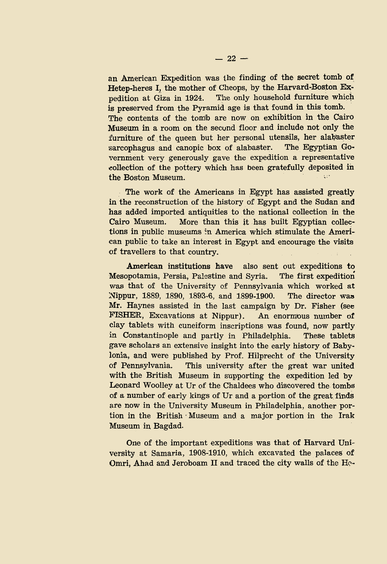an American Expedition was the finding of the secret tomb **of**  Hetep-heres I, the mother of Cheops, by the Harvard-Boston **Ex-**The only household furniture which is preserved from the Pyramid age is that found in this tomb. The contents of the tomb are now on exhibition in the Cairo Museum in a room on the secund floor and include not only the furniture of the queen but her personal utensils, her alabaster sarcophagus and canopic box of alabaster. The Egyptian Government very generously gave the expedition a representative collection of the pottery which has been gratefully deposited in the Boston Museum.  $\cdots$ 

The work of the Americans in Egypt has assisted greatly in the reconstruction of the history of Egypt and the Sudan and has added imported antiquities to the national collection in the Cairo Museum. More than this it has built Egyptian collections in public museums in America which stimulate the American public to take an interest in Egypt and encourage the visits of travellers to that country.

American institutions have also sent out expeditions to Mesopotamia, Persia, Palestine and Syria. The first expedition **was** that of the University of Pennsylvania which worked at Nippur, 1889, **1890, 1893-6,** and **1899-1900.** The director was Mr. Haynes assisted in the last campaign by **Dr.** Fisher (see FISHER, Excavations at Nippur). An enormous number **of**  clay tablets with cuneiform inscriptions was found, now partly in Constantinople and partly in Philadelphia. These tablets gave scholars an extensive insight into the early history of Babylonia, and were published by Prof. Hilprecht of the University of Pennsylvania. This university after the great war united with the British Museum in supporting the expedition led by Leonard Woolley at Ur of the Chaldees who discovered the tombs of a number of early kings of Ur and a portion of the great finds are now in the University Museum in Philadelphia, another portion in the British . Museum and a major portion in the Irak Museum in Bagdad.

One of the important expeditions was that of Harvard University at Samaria, **1908-1910,** which excavated the palaces of Omri, Ahad and Jeroboam II and traced the city walls of the He